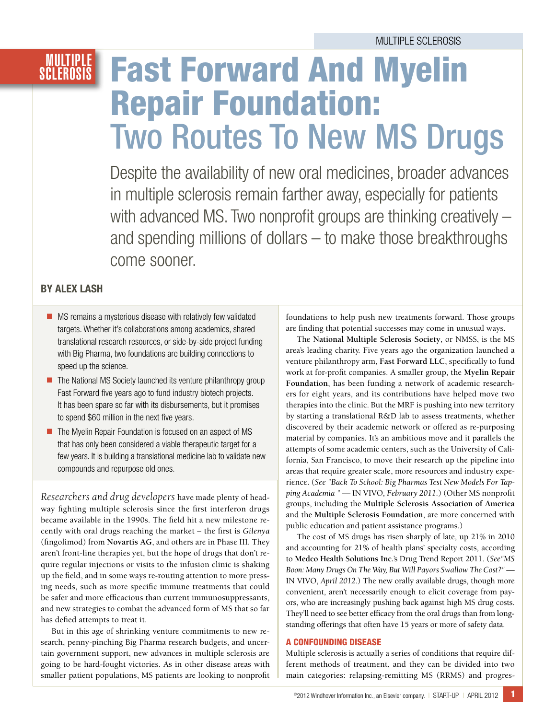## **MULTIPLE**<br>Sclerosis

# **Fast Forward And Myelin Repair Foundation:<br>Two Routes To New MS Drugs**

Despite the availability of new oral medicines, broader advances in multiple sclerosis remain farther away, especially for patients with advanced MS. Two nonprofit groups are thinking creatively – and spending millions of dollars – to make those breakthroughs come sooner.

### by Alex Lash

- $\blacksquare$  MS remains a mysterious disease with relatively few validated targets. Whether it's collaborations among academics, shared translational research resources, or side-by-side project funding with Big Pharma, two foundations are building connections to speed up the science.
- $\blacksquare$  The National MS Society launched its venture philanthropy group Fast Forward five years ago to fund industry biotech projects. It has been spare so far with its disbursements, but it promises to spend \$60 million in the next five years.
- $\blacksquare$  The Myelin Repair Foundation is focused on an aspect of MS that has only been considered a viable therapeutic target for a few years. It is building a translational medicine lab to validate new compounds and repurpose old ones.

*Researchers and drug developers* have made plenty of headway fighting multiple sclerosis since the first interferon drugs became available in the 1990s. The field hit a new milestone recently with oral drugs reaching the market – the first is *Gilenya* (fingolimod) from **Novartis AG**, and others are in Phase III. They aren't front-line therapies yet, but the hope of drugs that don't require regular injections or visits to the infusion clinic is shaking up the field, and in some ways re-routing attention to more pressing needs, such as more specific immune treatments that could be safer and more efficacious than current immunosuppressants, and new strategies to combat the advanced form of MS that so far has defied attempts to treat it.

But in this age of shrinking venture commitments to new research, penny-pinching Big Pharma research budgets, and uncertain government support, new advances in multiple sclerosis are going to be hard-fought victories. As in other disease areas with smaller patient populations, MS patients are looking to nonprofit foundations to help push new treatments forward. Those groups are finding that potential successes may come in unusual ways.

The **National Multiple Sclerosis Society**, or NMSS, is the MS area's leading charity. Five years ago the organization launched a venture philanthropy arm, **Fast Forward LLC**, specifically to fund work at for-profit companies. A smaller group, the **Myelin Repair Foundation**, has been funding a network of academic researchers for eight years, and its contributions have helped move two therapies into the clinic. But the MRF is pushing into new territory by starting a translational R&D lab to assess treatments, whether discovered by their academic network or offered as re-purposing material by companies. It's an ambitious move and it parallels the attempts of some academic centers, such as the University of California, San Francisco, to move their research up the pipeline into areas that require greater scale, more resources and industry experience. (*See "Back To School: Big Pharmas Test New Models For Tapping Academia " —* IN VIVO*, February 2011.*) (Other MS nonprofit groups, including the **Multiple Sclerosis Association of America** and the **Multiple Sclerosis Foundation**, are more concerned with public education and patient assistance programs.)

The cost of MS drugs has risen sharply of late, up 21% in 2010 and accounting for 21% of health plans' specialty costs, according to **Medco Health Solutions Inc.**'s Drug Trend Report 2011. (*See"MS Boon: Many Drugs On The Way, But Will Payors Swallow The Cost?" —*  IN VIVO, *April 2012*.) The new orally available drugs, though more convenient, aren't necessarily enough to elicit coverage from payors, who are increasingly pushing back against high MS drug costs. They'll need to see better efficacy from the oral drugs than from longstanding offerings that often have 15 years or more of safety data.

#### A Confounding Disease

Multiple sclerosis is actually a series of conditions that require different methods of treatment, and they can be divided into two main categories: relapsing-remitting MS (RRMS) and progres-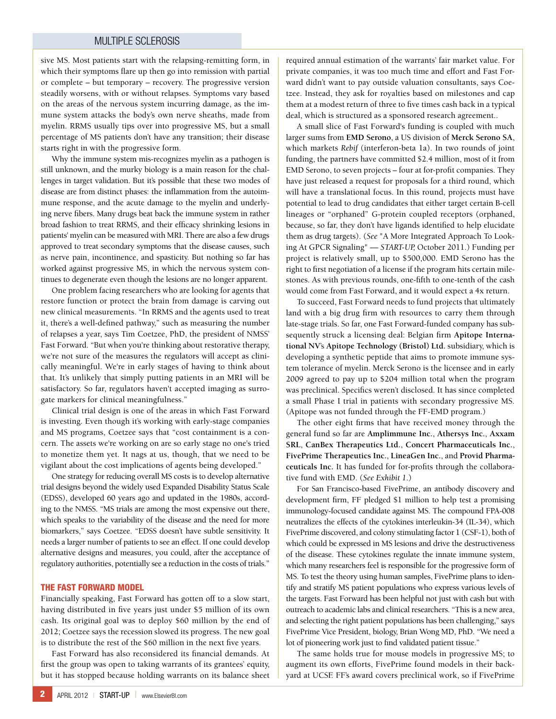#### Multiple Sclerosis

sive MS. Most patients start with the relapsing-remitting form, in which their symptoms flare up then go into remission with partial or complete – but temporary – recovery. The progressive version steadily worsens, with or without relapses. Symptoms vary based on the areas of the nervous system incurring damage, as the immune system attacks the body's own nerve sheaths, made from myelin. RRMS usually tips over into progressive MS, but a small percentage of MS patients don't have any transition; their disease starts right in with the progressive form.

Why the immune system mis-recognizes myelin as a pathogen is still unknown, and the murky biology is a main reason for the challenges in target validation. But it's possible that these two modes of disease are from distinct phases: the inflammation from the autoimmune response, and the acute damage to the myelin and underlying nerve fibers. Many drugs beat back the immune system in rather broad fashion to treat RRMS, and their efficacy shrinking lesions in patients' myelin can be measured with MRI. There are also a few drugs approved to treat secondary symptoms that the disease causes, such as nerve pain, incontinence, and spasticity. But nothing so far has worked against progressive MS, in which the nervous system continues to degenerate even though the lesions are no longer apparent.

One problem facing researchers who are looking for agents that restore function or protect the brain from damage is carving out new clinical measurements. "In RRMS and the agents used to treat it, there's a well-defined pathway," such as measuring the number of relapses a year, says Tim Coetzee, PhD, the president of NMSS' Fast Forward. "But when you're thinking about restorative therapy, we're not sure of the measures the regulators will accept as clinically meaningful. We're in early stages of having to think about that. It's unlikely that simply putting patients in an MRI will be satisfactory. So far, regulators haven't accepted imaging as surrogate markers for clinical meaningfulness."

Clinical trial design is one of the areas in which Fast Forward is investing. Even though it's working with early-stage companies and MS programs, Coetzee says that "cost containment is a concern. The assets we're working on are so early stage no one's tried to monetize them yet. It nags at us, though, that we need to be vigilant about the cost implications of agents being developed."

One strategy for reducing overall MS costs is to develop alternative trial designs beyond the widely used Expanded Disability Status Scale (EDSS), developed 60 years ago and updated in the 1980s, according to the NMSS. "MS trials are among the most expensive out there, which speaks to the variability of the disease and the need for more biomarkers," says Coetzee. "EDSS doesn't have subtle sensitivity. It needs a larger number of patients to see an effect. If one could develop alternative designs and measures, you could, after the acceptance of regulatory authorities, potentially see a reduction in the costs of trials."

#### The Fast Forward Model

Financially speaking, Fast Forward has gotten off to a slow start, having distributed in five years just under \$5 million of its own cash. Its original goal was to deploy \$60 million by the end of 2012; Coetzee says the recession slowed its progress. The new goal is to distribute the rest of the \$60 million in the next five years.

Fast Forward has also reconsidered its financial demands. At first the group was open to taking warrants of its grantees' equity, but it has stopped because holding warrants on its balance sheet required annual estimation of the warrants' fair market value. For private companies, it was too much time and effort and Fast Forward didn't want to pay outside valuation consultants, says Coetzee. Instead, they ask for royalties based on milestones and cap them at a modest return of three to five times cash back in a typical deal, which is structured as a sponsored research agreement..

A small slice of Fast Forward's funding is coupled with much larger sums from **EMD Serono**, a US division of **Merck Serono SA**, which markets *Rebif* (interferon-beta 1a). In two rounds of joint funding, the partners have committed \$2.4 million, most of it from EMD Serono, to seven projects – four at for-profit companies. They have just released a request for proposals for a third round, which will have a translational focus. In this round, projects must have potential to lead to drug candidates that either target certain B-cell lineages or "orphaned" G-protein coupled receptors (orphaned, because, so far, they don't have ligands identified to help elucidate them as drug targets). (*See* "A More Integrated Approach To Looking At GPCR Signaling" — *START-UP,* October 2011.) Funding per project is relatively small, up to \$500,000. EMD Serono has the right to first negotiation of a license if the program hits certain milestones. As with previous rounds, one-fifth to one-tenth of the cash would come from Fast Forward, and it would expect a 4x return.

To succeed, Fast Forward needs to fund projects that ultimately land with a big drug firm with resources to carry them through late-stage trials. So far, one Fast Forward-funded company has subsequently struck a licensing deal: Belgian firm **Apitope International NV**'s **Apitope Technology (Bristol) Ltd.** subsidiary, which is developing a synthetic peptide that aims to promote immune system tolerance of myelin. Merck Serono is the licensee and in early 2009 agreed to pay up to \$204 million total when the program was preclinical. Specifics weren't disclosed. It has since completed a small Phase I trial in patients with secondary progressive MS. (Apitope was not funded through the FF-EMD program.)

The other eight firms that have received money through the general fund so far are **Amplimmune Inc.**, **Athersys Inc.**, **Axxam SRL**, **CanBex Therapeutics Ltd.**, **Concert Pharmaceuticals Inc.**, **FivePrime Therapeutics Inc.**, **LineaGen Inc.**, and **Provid Pharmaceuticals Inc.** It has funded for for-profits through the collaborative fund with EMD. (*See Exhibit 1*.)

For San Francisco-based FivePrime, an antibody discovery and development firm, FF pledged \$1 million to help test a promising immunology-focused candidate against MS. The compound FPA-008 neutralizes the effects of the cytokines interleukin-34 (IL-34), which FivePrime discovered, and colony stimulating factor 1 (CSF-1), both of which could be expressed in MS lesions and drive the destructiveness of the disease. These cytokines regulate the innate immune system, which many researchers feel is responsible for the progressive form of MS. To test the theory using human samples, FivePrime plans to identify and stratify MS patient populations who express various levels of the targets. Fast Forward has been helpful not just with cash but with outreach to academic labs and clinical researchers. "This is a new area, and selecting the right patient populations has been challenging," says FivePrime Vice President, biology, Brian Wong MD, PhD. "We need a lot of pioneering work just to find validated patient tissue."

The same holds true for mouse models in progressive MS; to augment its own efforts, FivePrime found models in their backyard at UCSF. FF's award covers preclinical work, so if FivePrime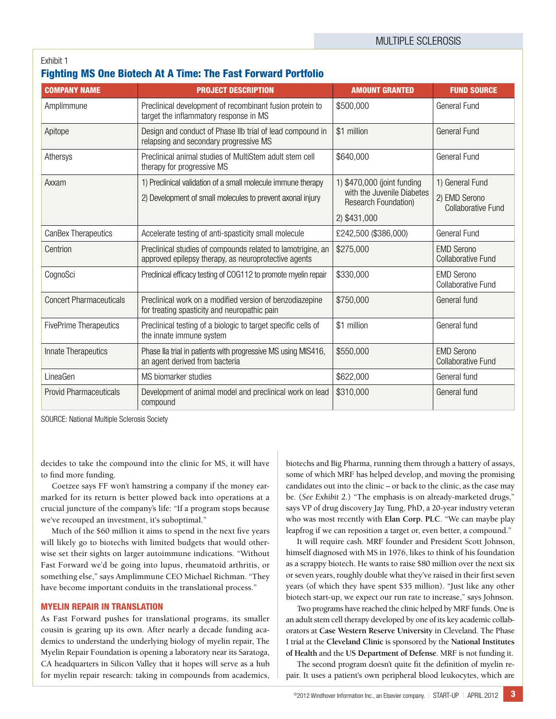#### Exhibit 1

#### Fighting MS One Biotech At A Time: The Fast Forward Portfolio

| <b>COMPANY NAME</b>            | <b>PROJECT DESCRIPTION</b>                                                                                          | <b>AMOUNT GRANTED</b>                                                                    | <b>FUND SOURCE</b>                             |
|--------------------------------|---------------------------------------------------------------------------------------------------------------------|------------------------------------------------------------------------------------------|------------------------------------------------|
| Amplimmune                     | Preclinical development of recombinant fusion protein to<br>target the inflammatory response in MS                  | \$500,000                                                                                | General Fund                                   |
| Apitope                        | Design and conduct of Phase IIb trial of lead compound in<br>relapsing and secondary progressive MS                 | \$1 million                                                                              | <b>General Fund</b>                            |
| Athersys                       | Preclinical animal studies of MultiStem adult stem cell<br>therapy for progressive MS                               | \$640,000                                                                                | General Fund                                   |
| Axxam                          | 1) Preclinical validation of a small molecule immune therapy                                                        | 1) \$470,000 (joint funding<br>with the Juvenile Diabetes<br><b>Research Foundation)</b> | 1) General Fund                                |
|                                | 2) Development of small molecules to prevent axonal injury                                                          |                                                                                          | 2) EMD Serono<br><b>Collaborative Fund</b>     |
|                                |                                                                                                                     | 2) \$431,000                                                                             |                                                |
| <b>CanBex Therapeutics</b>     | Accelerate testing of anti-spasticity small molecule                                                                | £242,500 (\$386,000)                                                                     | General Fund                                   |
| Centrion                       | Preclinical studies of compounds related to lamotrigine, an<br>approved epilepsy therapy, as neuroprotective agents | \$275,000                                                                                | <b>EMD Serono</b><br><b>Collaborative Fund</b> |
| CognoSci                       | Preclinical efficacy testing of COG112 to promote myelin repair                                                     | \$330,000                                                                                | <b>EMD Serono</b><br><b>Collaborative Fund</b> |
| <b>Concert Pharmaceuticals</b> | Preclinical work on a modified version of benzodiazepine<br>for treating spasticity and neuropathic pain            | \$750,000                                                                                | General fund                                   |
| <b>FivePrime Therapeutics</b>  | Preclinical testing of a biologic to target specific cells of<br>the innate immune system                           | \$1 million                                                                              | General fund                                   |
| Innate Therapeutics            | Phase IIa trial in patients with progressive MS using MIS416,<br>an agent derived from bacteria                     | \$550,000                                                                                | <b>EMD Serono</b><br><b>Collaborative Fund</b> |
| LineaGen                       | MS biomarker studies                                                                                                | \$622,000                                                                                | General fund                                   |
| <b>Provid Pharmaceuticals</b>  | Development of animal model and preclinical work on lead<br>compound                                                | \$310,000                                                                                | General fund                                   |

SOURCE: National Multiple Sclerosis Society

decides to take the compound into the clinic for MS, it will have to find more funding.

Coetzee says FF won't hamstring a company if the money earmarked for its return is better plowed back into operations at a crucial juncture of the company's life: "If a program stops because we've recouped an investment, it's suboptimal."

Much of the \$60 million it aims to spend in the next five years will likely go to biotechs with limited budgets that would otherwise set their sights on larger autoimmune indications. "Without Fast Forward we'd be going into lupus, rheumatoid arthritis, or something else," says Amplimmune CEO Michael Richman. "They have become important conduits in the translational process."

#### **MYELIN REPAIR IN TRANSLATION**

As Fast Forward pushes for translational programs, its smaller cousin is gearing up its own. After nearly a decade funding academics to understand the underlying biology of myelin repair, The Myelin Repair Foundation is opening a laboratory near its Saratoga, CA headquarters in Silicon Valley that it hopes will serve as a hub for myelin repair research: taking in compounds from academics, biotechs and Big Pharma, running them through a battery of assays, some of which MRF has helped develop, and moving the promising candidates out into the clinic – or back to the clinic, as the case may be. (*See Exhibit 2*.) "The emphasis is on already-marketed drugs," says VP of drug discovery Jay Tung, PhD, a 20-year industry veteran who was most recently with **Elan Corp. PLC**. "We can maybe play leapfrog if we can reposition a target or, even better, a compound."

It will require cash. MRF founder and President Scott Johnson, himself diagnosed with MS in 1976, likes to think of his foundation as a scrappy biotech. He wants to raise \$80 million over the next six or seven years, roughly double what they've raised in their first seven years (of which they have spent \$35 million). "Just like any other biotech start-up, we expect our run rate to increase," says Johnson.

Two programs have reached the clinic helped by MRF funds. One is an adult stem cell therapy developed by one of its key academic collaborators at **Case Western Reserve University** in Cleveland. The Phase I trial at the **Cleveland Clinic** is sponsored by the **National Institutes of Health** and the **US Department of Defense**. MRF is not funding it.

The second program doesn't quite fit the definition of myelin repair. It uses a patient's own peripheral blood leukocytes, which are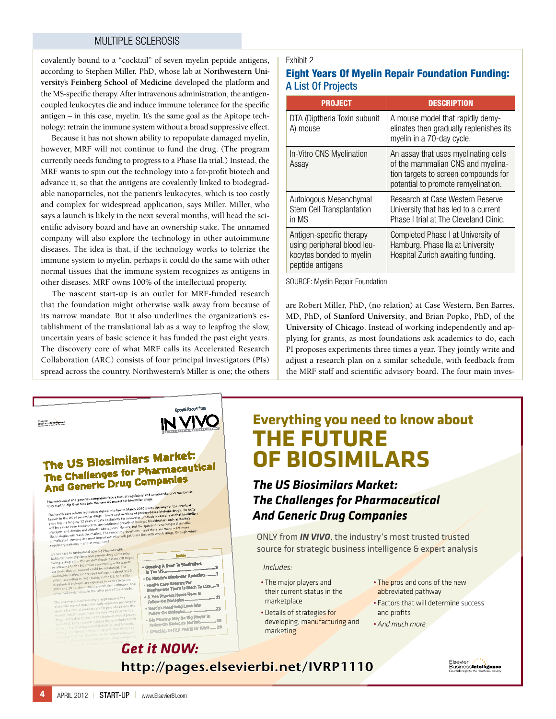#### Multiple Sclerosis

covalently bound to a "cocktail" of seven myelin peptide antigens, according to Stephen Miller, PhD, whose lab at **Northwestern University**'s **Feinberg School of Medicine** developed the platform and the MS-specific therapy. After intravenous administration, the antigencoupled leukocytes die and induce immune tolerance for the specific antigen – in this case, myelin. It's the same goal as the Apitope technology: retrain the immune system without a broad suppressive effect.

Because it has not shown ability to repopulate damaged myelin, however, MRF will not continue to fund the drug. (The program currently needs funding to progress to a Phase IIa trial.) Instead, the MRF wants to spin out the technology into a for-profit biotech and advance it, so that the antigens are covalently linked to biodegradable nanoparticles, not the patient's leukocytes, which is too costly and complex for widespread application, says Miller. Miller, who says a launch is likely in the next several months, will head the scientific advisory board and have an ownership stake. The unnamed company will also explore the technology in other autoimmune diseases. The idea is that, if the technology works to tolerize the immune system to myelin, perhaps it could do the same with other normal tissues that the immune system recognizes as antigens in other diseases. MRF owns 100% of the intellectual property.

The nascent start-up is an outlet for MRF-funded research that the foundation might otherwise walk away from because of its narrow mandate. But it also underlines the organization's establishment of the translational lab as a way to leapfrog the slow, uncertain years of basic science it has funded the past eight years. The discovery core of what MRF calls its Accelerated Research Collaboration (ARC) consists of four principal investigators (PIs) spread across the country. Northwestern's Miller is one; the others

#### Exhibit 2

#### Eight Years Of Myelin Repair Foundation Funding: A List Of Projects

| <b>PROJECT</b>                                                                                          | <b>DESCRIPTION</b>                                                                                                                                       |
|---------------------------------------------------------------------------------------------------------|----------------------------------------------------------------------------------------------------------------------------------------------------------|
| DTA (Diptheria Toxin subunit<br>A) mouse                                                                | A mouse model that rapidly demy-<br>elinates then gradually replenishes its<br>myelin in a 70-day cycle.                                                 |
| In-Vitro CNS Myelination<br>Assay                                                                       | An assay that uses myelinating cells<br>of the mammalian CNS and myelina-<br>tion targets to screen compounds for<br>potential to promote remyelination. |
| Autologous Mesenchymal<br>Stem Cell Transplantation<br>in MS                                            | Research at Case Western Reserve<br>University that has led to a current<br>Phase I trial at The Cleveland Clinic.                                       |
| Antigen-specific therapy<br>using peripheral blood leu-<br>kocytes bonded to myelin<br>peptide antigens | Completed Phase I at University of<br>Hamburg. Phase IIa at University<br>Hospital Zurich awaiting funding.                                              |

SOURCE: Myelin Repair Foundation

are Robert Miller, PhD, (no relation) at Case Western, Ben Barres, MD, PhD, of **Stanford University**, and Brian Popko, PhD, of the **University of Chicago**. Instead of working independently and applying for grants, as most foundations ask academics to do, each PI proposes experiments three times a year. They jointly write and four principal investigators (PIs) adjust a research plan on a similar schedule, with feedback from the MRF staff and scientific advisory board. The four main inves-